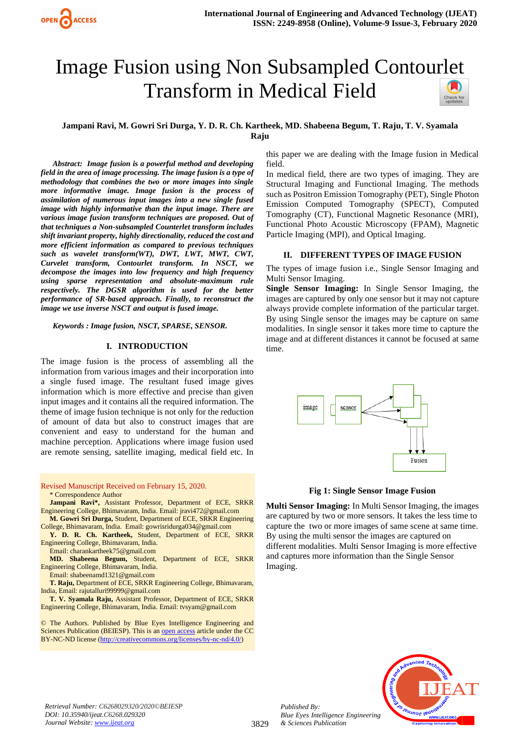# Image Fusion using Non Subsampled Contou[rlet](https://crossmark.crossref.org/dialog/?doi=10.35940/ijeat.C6268.029320&domain=www.ijeat.org)  Transform in Medical Field

## **Jampani Ravi, M. Gowri Sri Durga, Y. D. R. Ch. Kartheek, MD. Shabeena Begum, T. Raju, T. V. Syamala Raju**

*Abstract: Image fusion is a powerful method and developing field in the area of image processing. The image fusion is a type of methodology that combines the two or more images into single more informative image. Image fusion is the process of assimilation of numerous input images into a new single fused image with highly informative than the input image. There are various image fusion transform techniques are proposed. Out of that techniques a Non-subsampled Counterlet transform includes shift invariant property, highly directionality, reduced the cost and more efficient information as compared to previous techniques such as wavelet transform(WT), DWT, LWT, MWT, CWT, Curvelet transform, Contourlet transform. In NSCT, we decompose the images into low frequency and high frequency using sparse representation and absolute-maximum rule respectively. The DGSR algorithm is used for the better performance of SR-based approach. Finally, to reconstruct the image we use inverse NSCT and output is fused image.*

*Keywords : Image fusion, NSCT, SPARSE, SENSOR.*

#### **I. INTRODUCTION**

The image fusion is the process of assembling all the information from various images and their incorporation into a single fused image. The resultant fused image gives information which is more effective and precise than given input images and it contains all the required information. The theme of image fusion technique is not only for the reduction of amount of data but also to construct images that are convenient and easy to understand for the human and machine perception. Applications where image fusion used are remote sensing, satellite imaging, medical field etc. In

Revised Manuscript Received on February 15, 2020.

\* Correspondence Author

**Jampani Ravi\*,** Assistant Professor, Department of ECE, SRKR Engineering College, Bhimavaram, India. Email: jravi472@gmail.com **M. Gowri Sri Durga,** Student, Department of ECE, SRKR Engineering

College, Bhimavaram, India. Email: gowrisridurga034@gmail.com

**Y. D. R. Ch. Kartheek,** Student, Department of ECE, SRKR Engineering College, Bhimavaram, India.

Email: charankartheek75@gmail.com

**MD. Shabeena Begum,** Student, Department of ECE, SRKR Engineering College, Bhimavaram, India. Email: shabeenamd1321@gmail.com

**T. Raju,** Department of ECE, SRKR Engineering College, Bhimavaram, India, Email: rajutalluri99999@gmail.com

**T. V. Syamala Raju,** Assistant Professor, Department of ECE, SRKR Engineering College, Bhimavaram, India. Email: tvsyam@gmail.com

© The Authors. Published by Blue Eyes Intelligence Engineering and Sciences Publication (BEIESP). This is a[n open access](https://www.openaccess.nl/en/open-publications) article under the CC BY-NC-ND license [\(http://creativecommons.org/licenses/by-nc-nd/4.0/\)](http://creativecommons.org/licenses/by-nc-nd/4.0/)

this paper we are dealing with the Image fusion in Medical field.

In medical field, there are two types of imaging. They are Structural Imaging and Functional Imaging. The methods such as Positron Emission Tomography (PET), Single Photon Emission Computed Tomography (SPECT), Computed Tomography (CT), Functional Magnetic Resonance (MRI), Functional Photo Acoustic Microscopy (FPAM), Magnetic Particle Imaging (MPI), and Optical Imaging.

#### **II. DIFFERENT TYPES OF IMAGE FUSION**

The types of image fusion i.e., Single Sensor Imaging and Multi Sensor Imaging.

**Single Sensor Imaging:** In Single Sensor Imaging, the images are captured by only one sensor but it may not capture always provide complete information of the particular target. By using Single sensor the images may be capture on same modalities. In single sensor it takes more time to capture the image and at different distances it cannot be focused at same time.



**Fig 1: Single Sensor Image Fusion**

**Multi Sensor Imaging:** In Multi Sensor Imaging, the images are captured by two or more sensors. It takes the less time to capture the two or more images of same scene at same time. By using the multi sensor the images are captured on different modalities. Multi Sensor Imaging is more effective and captures more information than the Single Sensor Imaging.



*Retrieval Number: C6268029320/2020©BEIESP DOI: 10.35940/ijeat.C6268.029320 Journal Website[: www.ijeat.org](http://www.ijeat.org/)*

*Published By:*

*& Sciences Publication*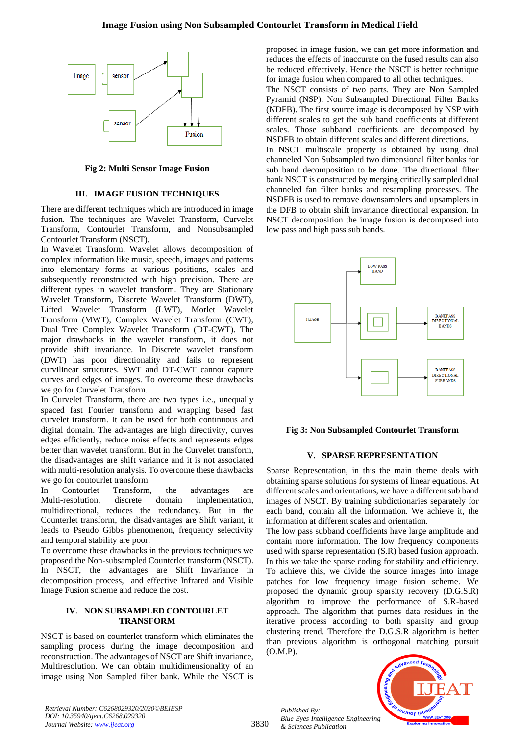# **Image Fusion using Non Subsampled Contourlet Transform in Medical Field**



**Fig 2: Multi Sensor Image Fusion**

## **III. IMAGE FUSION TECHNIQUES**

There are different techniques which are introduced in image fusion. The techniques are Wavelet Transform, Curvelet Transform, Contourlet Transform, and Nonsubsampled Contourlet Transform (NSCT).

In Wavelet Transform, Wavelet allows decomposition of complex information like music, speech, images and patterns into elementary forms at various positions, scales and subsequently reconstructed with high precision. There are different types in wavelet transform. They are Stationary Wavelet Transform, Discrete Wavelet Transform (DWT), Lifted Wavelet Transform (LWT), Morlet Wavelet Transform (MWT), Complex Wavelet Transform (CWT), Dual Tree Complex Wavelet Transform (DT-CWT). The major drawbacks in the wavelet transform, it does not provide shift invariance. In Discrete wavelet transform (DWT) has poor directionality and fails to represent curvilinear structures. SWT and DT-CWT cannot capture curves and edges of images. To overcome these drawbacks we go for Curvelet Transform.

In Curvelet Transform, there are two types i.e., unequally spaced fast Fourier transform and wrapping based fast curvelet transform. It can be used for both continuous and digital domain. The advantages are high directivity, curves edges efficiently, reduce noise effects and represents edges better than wavelet transform. But in the Curvelet transform, the disadvantages are shift variance and it is not associated with multi-resolution analysis. To overcome these drawbacks we go for contourlet transform.

In Contourlet Transform, the advantages are Multi-resolution, discrete domain implementation, multidirectional, reduces the redundancy. But in the Counterlet transform, the disadvantages are Shift variant, it leads to Pseudo Gibbs phenomenon, frequency selectivity and temporal stability are poor.

To overcome these drawbacks in the previous techniques we proposed the Non-subsampled Counterlet transform (NSCT). In NSCT, the advantages are Shift Invariance in decomposition process, and effective Infrared and Visible Image Fusion scheme and reduce the cost.

#### **IV. NON SUBSAMPLED CONTOURLET TRANSFORM**

NSCT is based on counterlet transform which eliminates the sampling process during the image decomposition and reconstruction. The advantages of NSCT are Shift invariance, Multiresolution. We can obtain multidimensionality of an image using Non Sampled filter bank. While the NSCT is

proposed in image fusion, we can get more information and reduces the effects of inaccurate on the fused results can also be reduced effectively. Hence the NSCT is better technique for image fusion when compared to all other techniques.

The NSCT consists of two parts. They are Non Sampled Pyramid (NSP), Non Subsampled Directional Filter Banks (NDFB). The first source image is decomposed by NSP with different scales to get the sub band coefficients at different scales. Those subband coefficients are decomposed by NSDFB to obtain different scales and different directions.

In NSCT multiscale property is obtained by using dual channeled Non Subsampled two dimensional filter banks for sub band decomposition to be done. The directional filter bank NSCT is constructed by merging critically sampled dual channeled fan filter banks and resampling processes. The NSDFB is used to remove downsamplers and upsamplers in the DFB to obtain shift invariance directional expansion. In NSCT decomposition the image fusion is decomposed into low pass and high pass sub bands.



## **Fig 3: Non Subsampled Contourlet Transform**

## **V. SPARSE REPRESENTATION**

Sparse Representation, in this the main theme deals with obtaining sparse solutions for systems of linear equations. At different scales and orientations, we have a different sub band images of NSCT. By training subdictionaries separately for each band, contain all the information. We achieve it, the information at different scales and orientation.

The low pass subband coefficients have large amplitude and contain more information. The low frequency components used with sparse representation (S.R) based fusion approach. In this we take the sparse coding for stability and efficiency. To achieve this, we divide the source images into image patches for low frequency image fusion scheme. We proposed the dynamic group sparsity recovery (D.G.S.R) algorithm to improve the performance of S.R-based approach. The algorithm that purnes data residues in the iterative process according to both sparsity and group clustering trend. Therefore the D.G.S.R algorithm is better than previous algorithm is orthogonal matching pursuit (O.M.P).

*Published By: Blue Eyes Intelligence Engineering & Sciences Publication* 



*Retrieval Number: C6268029320/2020©BEIESP DOI: 10.35940/ijeat.C6268.029320 Journal Website[: www.ijeat.org](http://www.ijeat.org/)*

3830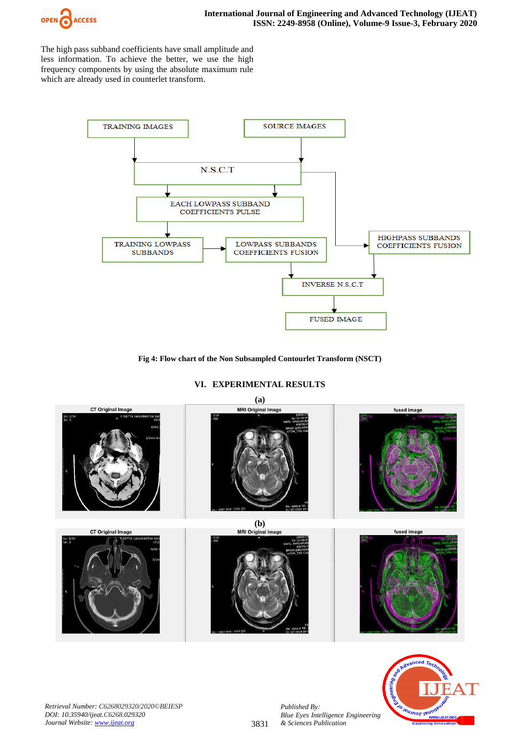

The high pass subband coefficients have small amplitude and less information. To achieve the better, we use the high frequency components by using the absolute maximum rule which are already used in counterlet transform.



## **Fig 4: Flow chart of the Non Subsampled Contourlet Transform (NSCT)**

**VI. EXPERIMENTAL RESULTS**





*Published By:*